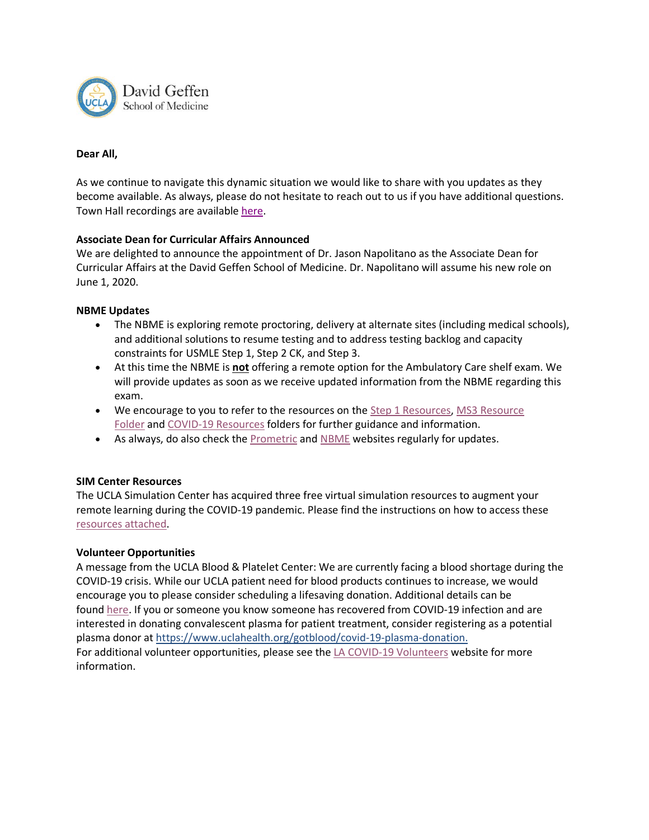

### **Dear All,**

As we continue to navigate this dynamic situation we would like to share with you updates as they become available. As always, please do not hesitate to reach out to us if you have additional questions. Town Hall recordings are available [here.](https://medschool.ucla.edu/coronavirus-information/md-students)

## **Associate Dean for Curricular Affairs Announced**

We are delighted to announce the appointment of Dr. Jason Napolitano as the Associate Dean for Curricular Affairs at the David Geffen School of Medicine. Dr. Napolitano will assume his new role on June 1, 2020.

#### **NBME Updates**

- The NBME is exploring remote proctoring, delivery at alternate sites (including medical schools), and additional solutions to resume testing and to address testing backlog and capacity constraints for USMLE Step 1, Step 2 CK, and Step 3.
- At this time the NBME is **not** offering a remote option for the Ambulatory Care shelf exam. We will provide updates as soon as we receive updated information from the NBME regarding this exam.
- We encourage to you to refer to the resources on the [Step 1 Resources,](https://uclahs.box.com/s/7dyfjpemz0u816pj6laz1nggky0177j3) MS3 Resource [Folder](https://uclahs.box.com/s/9mrl0pg42dvz878x45sds7gbjyexfhfe) and [COVID-19 Resources](https://uclahs.box.com/s/mlm5c38dkq0oouzihtt8ij0dg2i5i2kf) folders for further guidance and information.
- As always, do also check the [Prometric](https://urldefense.proofpoint.com/v2/url?u=https-3A__www.prometric.com_site-2Dopenings&d=DwMFaQ&c=UXmaowRpu5bLSLEQRunJ2z-YIUZuUoa9Rw_x449Hd_Y&r=iRXypxuvcIPxg6JVl7z5_dg9XcQhyaHnsJ7QKDjqjOs&m=2-VhvM5yi9eGalMAI1p4wXMQhMJcvWUuCD_E832lvpE&s=PX0hCbqY06TeCv9YtuuCh4wGdpjEXQVY-2dwVJFwc74&e=) and [NBME](https://urldefense.proofpoint.com/v2/url?u=https-3A__www.usmle.org_announcements_default.aspx-3FContentId-3D268&d=DwMFaQ&c=UXmaowRpu5bLSLEQRunJ2z-YIUZuUoa9Rw_x449Hd_Y&r=iRXypxuvcIPxg6JVl7z5_dg9XcQhyaHnsJ7QKDjqjOs&m=2-VhvM5yi9eGalMAI1p4wXMQhMJcvWUuCD_E832lvpE&s=r2ahLSfBszcy88Xjau9Z4KGRyjoZcsaegqoMu7AtNY8&e=) websites regularly for updates.

#### **SIM Center Resources**

The UCLA Simulation Center has acquired three free virtual simulation resources to augment your remote learning during the COVID-19 pandemic. Please find the instructions on how to access these [resources attached.](https://medschool.ucla.edu/workfiles/Virtual%20Resources%20for%20Medical%20Students.pdf)

#### **Volunteer Opportunities**

A message from the UCLA Blood & Platelet Center: We are currently facing a blood shortage during the COVID-19 crisis. While our UCLA patient need for blood products continues to increase, we would encourage you to please consider scheduling a lifesaving donation. Additional details can be found [here.](https://urldefense.proofpoint.com/v2/url?u=https-3A__www.uclahealth.org_gotblood_make-2Dan-2Dappointment&d=DwMFaQ&c=UXmaowRpu5bLSLEQRunJ2z-YIUZuUoa9Rw_x449Hd_Y&r=EbVvaEP62LiL2CyjWKf5hyo6wYmnPzqGTVGFBh8L7Io&m=1Uem_p-OiXwPY40txKOpGKEi36rGyD0ezV8jwL2wtCU&s=4pKH3cZV4438Ca5ho4m24cA3WNLf8EL06di3CHBXY3g&e=) If you or someone you know someone has recovered from COVID-19 infection and are interested in donating convalescent plasma for patient treatment, consider registering as a potential plasma donor at [https://www.uclahealth.org/gotblood/covid-19-plasma-donation.](https://www.uclahealth.org/gotblood/covid-19-plasma-donation) For additional volunteer opportunities, please see the [LA COVID-19 Volunteers](https://www.lacovidvolunteers.org/) website for more information.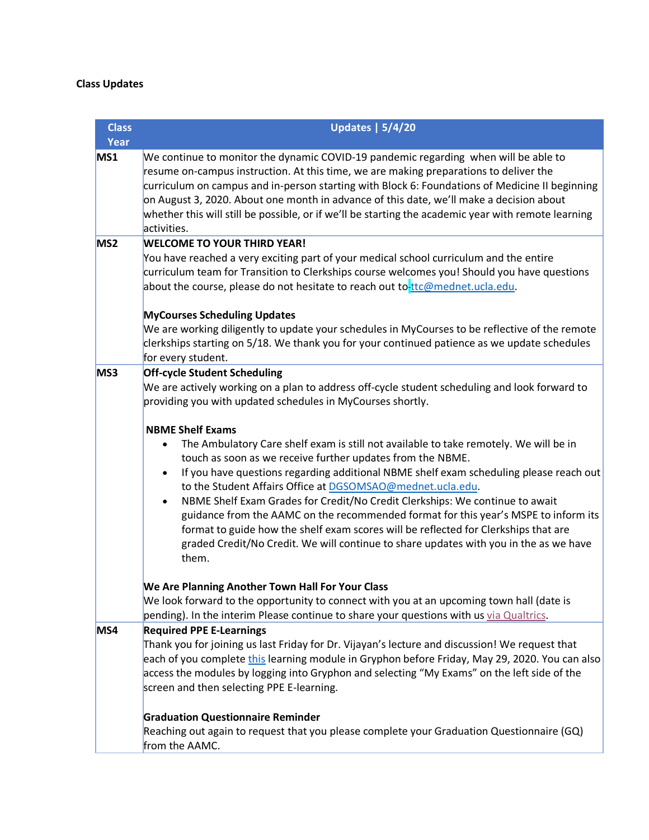# **Class Updates**

| <b>Class</b>    | <b>Updates   5/4/20</b>                                                                                                                                                                                                                                                                                                                                                                                                                                                                                                                                                                                                                                                                                                          |  |  |
|-----------------|----------------------------------------------------------------------------------------------------------------------------------------------------------------------------------------------------------------------------------------------------------------------------------------------------------------------------------------------------------------------------------------------------------------------------------------------------------------------------------------------------------------------------------------------------------------------------------------------------------------------------------------------------------------------------------------------------------------------------------|--|--|
| Year            |                                                                                                                                                                                                                                                                                                                                                                                                                                                                                                                                                                                                                                                                                                                                  |  |  |
| MS1             | We continue to monitor the dynamic COVID-19 pandemic regarding when will be able to<br>resume on-campus instruction. At this time, we are making preparations to deliver the<br>curriculum on campus and in-person starting with Block 6: Foundations of Medicine II beginning<br>on August 3, 2020. About one month in advance of this date, we'll make a decision about<br>whether this will still be possible, or if we'll be starting the academic year with remote learning<br>activities.                                                                                                                                                                                                                                  |  |  |
| MS <sub>2</sub> | <b>WELCOME TO YOUR THIRD YEAR!</b>                                                                                                                                                                                                                                                                                                                                                                                                                                                                                                                                                                                                                                                                                               |  |  |
|                 | You have reached a very exciting part of your medical school curriculum and the entire<br>curriculum team for Transition to Clerkships course welcomes you! Should you have questions<br>about the course, please do not hesitate to reach out to ttc@mednet.ucla.edu.                                                                                                                                                                                                                                                                                                                                                                                                                                                           |  |  |
|                 | <b>MyCourses Scheduling Updates</b>                                                                                                                                                                                                                                                                                                                                                                                                                                                                                                                                                                                                                                                                                              |  |  |
|                 | We are working diligently to update your schedules in MyCourses to be reflective of the remote<br>clerkships starting on 5/18. We thank you for your continued patience as we update schedules<br>for every student.                                                                                                                                                                                                                                                                                                                                                                                                                                                                                                             |  |  |
| MS3             | <b>Off-cycle Student Scheduling</b><br>We are actively working on a plan to address off-cycle student scheduling and look forward to<br>providing you with updated schedules in MyCourses shortly.                                                                                                                                                                                                                                                                                                                                                                                                                                                                                                                               |  |  |
|                 | <b>NBME Shelf Exams</b><br>The Ambulatory Care shelf exam is still not available to take remotely. We will be in<br>touch as soon as we receive further updates from the NBME.<br>If you have questions regarding additional NBME shelf exam scheduling please reach out<br>$\bullet$<br>to the Student Affairs Office at DGSOMSAO@mednet.ucla.edu.<br>NBME Shelf Exam Grades for Credit/No Credit Clerkships: We continue to await<br>$\bullet$<br>guidance from the AAMC on the recommended format for this year's MSPE to inform its<br>format to guide how the shelf exam scores will be reflected for Clerkships that are<br>graded Credit/No Credit. We will continue to share updates with you in the as we have<br>them. |  |  |
|                 | We Are Planning Another Town Hall For Your Class<br>We look forward to the opportunity to connect with you at an upcoming town hall (date is<br>pending). In the interim Please continue to share your questions with us via Qualtrics.                                                                                                                                                                                                                                                                                                                                                                                                                                                                                          |  |  |
| MS4             | <b>Required PPE E-Learnings</b><br>Thank you for joining us last Friday for Dr. Vijayan's lecture and discussion! We request that<br>each of you complete this learning module in Gryphon before Friday, May 29, 2020. You can also<br>access the modules by logging into Gryphon and selecting "My Exams" on the left side of the<br>screen and then selecting PPE E-learning.<br><b>Graduation Questionnaire Reminder</b>                                                                                                                                                                                                                                                                                                      |  |  |
|                 | Reaching out again to request that you please complete your Graduation Questionnaire (GQ)<br>from the AAMC.                                                                                                                                                                                                                                                                                                                                                                                                                                                                                                                                                                                                                      |  |  |